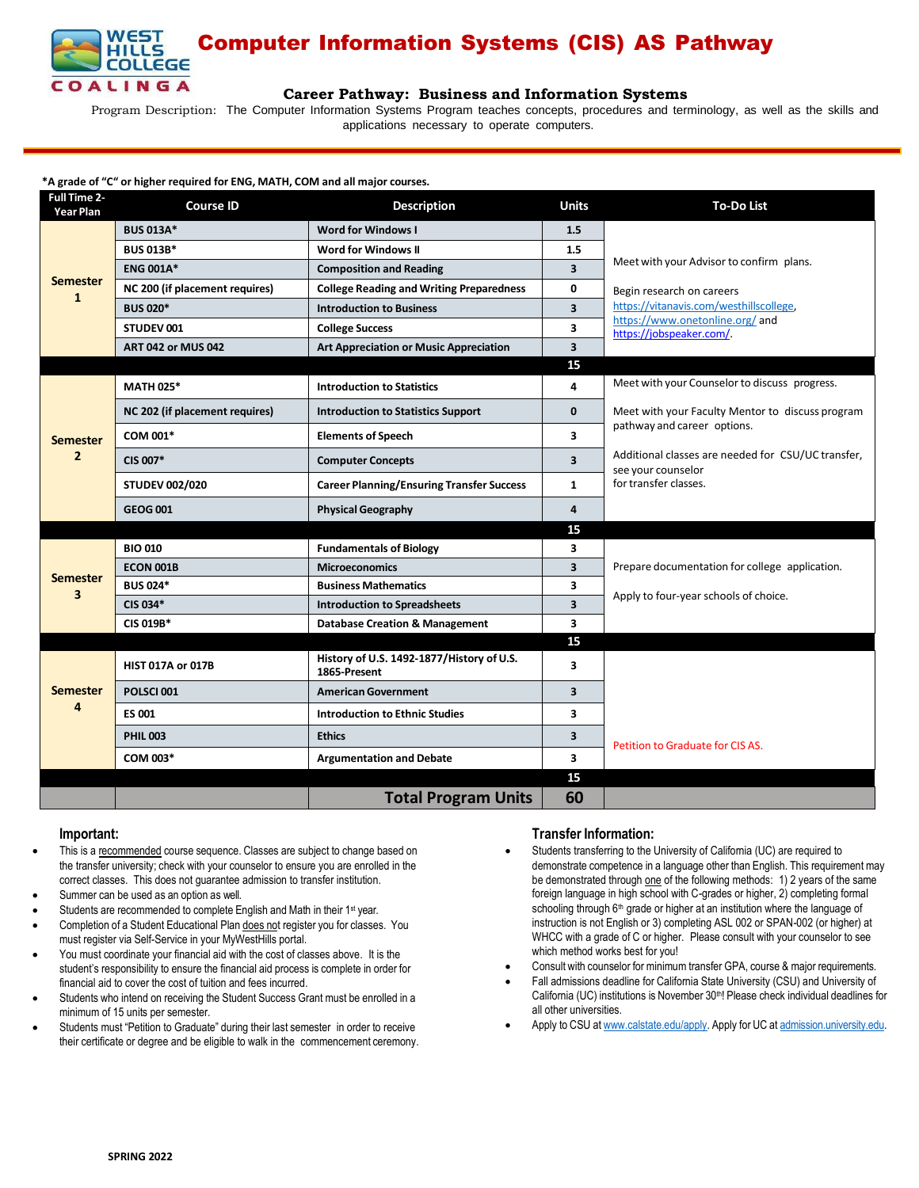

# Computer Information Systems (CIS) AS Pathway

## **Career [Pathway:](http://www.broward.edu/academics/programs/Pages/social-behavioral-sciences-human-services-SBSHS.aspx) Business and Information Systems**

Program Description: The Computer Information Systems Program teaches concepts, procedures and terminology, as well as the skills and applications necessary to operate computers.

## **\*A grade of "C" or higher required for ENG, MATH, COM and all major courses.**

| <b>Full Time 2-</b><br>Year Plan | <b>Course ID</b>               | <b>Description</b>                                        | <b>Units</b>            | <b>To-Do List</b>                                                        |
|----------------------------------|--------------------------------|-----------------------------------------------------------|-------------------------|--------------------------------------------------------------------------|
| <b>Semester</b><br>$\mathbf{1}$  | <b>BUS 013A*</b>               | Word for Windows I                                        | 1.5                     |                                                                          |
|                                  | <b>BUS 013B*</b>               | <b>Word for Windows II</b>                                | 1.5                     |                                                                          |
|                                  | <b>ENG 001A*</b>               | <b>Composition and Reading</b>                            | 3                       | Meet with your Advisor to confirm plans.                                 |
|                                  | NC 200 (if placement requires) | <b>College Reading and Writing Preparedness</b>           | 0                       | Begin research on careers                                                |
|                                  | <b>BUS 020*</b>                | <b>Introduction to Business</b>                           | 3                       | https://vitanavis.com/westhillscollege.                                  |
|                                  | STUDEV 001                     | <b>College Success</b>                                    | 3                       | https://www.onetonline.org/and<br>https://jobspeaker.com/.               |
|                                  | <b>ART 042 or MUS 042</b>      | <b>Art Appreciation or Music Appreciation</b>             | $\overline{\mathbf{3}}$ |                                                                          |
|                                  |                                |                                                           | 15                      |                                                                          |
| <b>Semester</b>                  | <b>MATH 025*</b>               | <b>Introduction to Statistics</b>                         | 4                       | Meet with your Counselor to discuss progress.                            |
|                                  | NC 202 (if placement requires) | <b>Introduction to Statistics Support</b>                 | $\mathbf{0}$            | Meet with your Faculty Mentor to discuss program                         |
|                                  | COM 001*                       | <b>Elements of Speech</b>                                 | 3                       | pathway and career options.                                              |
| $\overline{2}$                   | CIS 007*                       | <b>Computer Concepts</b>                                  | 3                       | Additional classes are needed for CSU/UC transfer,<br>see your counselor |
|                                  | <b>STUDEV 002/020</b>          | <b>Career Planning/Ensuring Transfer Success</b>          | $\mathbf{1}$            | for transfer classes.                                                    |
|                                  | <b>GEOG 001</b>                | <b>Physical Geography</b>                                 | 4                       |                                                                          |
|                                  |                                |                                                           | 15                      |                                                                          |
|                                  | <b>BIO 010</b>                 | <b>Fundamentals of Biology</b>                            | 3                       |                                                                          |
| <b>Semester</b>                  | ECON 001B                      | <b>Microeconomics</b>                                     | 3                       | Prepare documentation for college application.                           |
| 3                                | <b>BUS 024*</b>                | <b>Business Mathematics</b>                               | 3                       | Apply to four-year schools of choice.                                    |
|                                  | CIS 034*                       | <b>Introduction to Spreadsheets</b>                       | $\overline{\mathbf{3}}$ |                                                                          |
|                                  | <b>CIS 019B*</b>               | <b>Database Creation &amp; Management</b>                 | 3                       |                                                                          |
|                                  |                                |                                                           | 15                      |                                                                          |
| <b>Semester</b><br>4             | <b>HIST 017A or 017B</b>       | History of U.S. 1492-1877/History of U.S.<br>1865-Present | 3                       |                                                                          |
|                                  | POLSCI 001                     | <b>American Government</b>                                | 3                       |                                                                          |
|                                  | <b>ES 001</b>                  | <b>Introduction to Ethnic Studies</b>                     | 3                       |                                                                          |
|                                  | <b>PHIL 003</b>                | <b>Ethics</b>                                             | 3                       | Petition to Graduate for CIS AS.                                         |
|                                  | COM 003*                       | <b>Argumentation and Debate</b>                           | 3                       |                                                                          |
|                                  |                                |                                                           | 15                      |                                                                          |
|                                  |                                | <b>Total Program Units</b>                                | 60                      |                                                                          |

### **Important:**

- This is a recommended course sequence. Classes are subject to change based on the transfer university; check with your counselor to ensure you are enrolled in the correct classes. This does not guarantee admission to transfer institution.
- Summer can be used as an option as well.
- Students are recommended to complete English and Math in their 1<sup>st</sup> year.
- Completion of a Student Educational Plan does not register you for classes. You must register via Self-Service in your MyWestHills portal.
- You must coordinate your financial aid with the cost of classes above. It is the student's responsibility to ensure the financial aid process is complete in order for financial aid to cover the cost of tuition and fees incurred.
- Students who intend on receiving the Student Success Grant must be enrolled in a minimum of 15 units per semester.
- Students must "Petition to Graduate" during their last semester in order to receive their certificate or degree and be eligible to walk in the commencement ceremony.

# **Transfer Information:**

- Students transferring to the University of California (UC) are required to demonstrate competence in a language other than English. This requirement may be demonstrated through one of the following methods: 1) 2 years of the same foreign language in high school with C-grades or higher, 2) completing formal schooling through 6<sup>th</sup> grade or higher at an institution where the language of instruction is not English or 3) completing ASL 002 or SPAN-002 (or higher) at WHCC with a grade of C or higher. Please consult with your counselor to see which method works best for you!
- Consult with counselor for minimum transfer GPA, course & major requirements.
- Fall admissions deadline for California State University (CSU) and University of California (UC) institutions is November 30<sup>th</sup>! Please check individual deadlines for all other universities.
- Apply to CSU at [www.calstate.edu/apply.](http://www.calstate.edu/apply) Apply for UC at [admission.university.edu.](http://www.apply.universityofcalifornia.edu/)